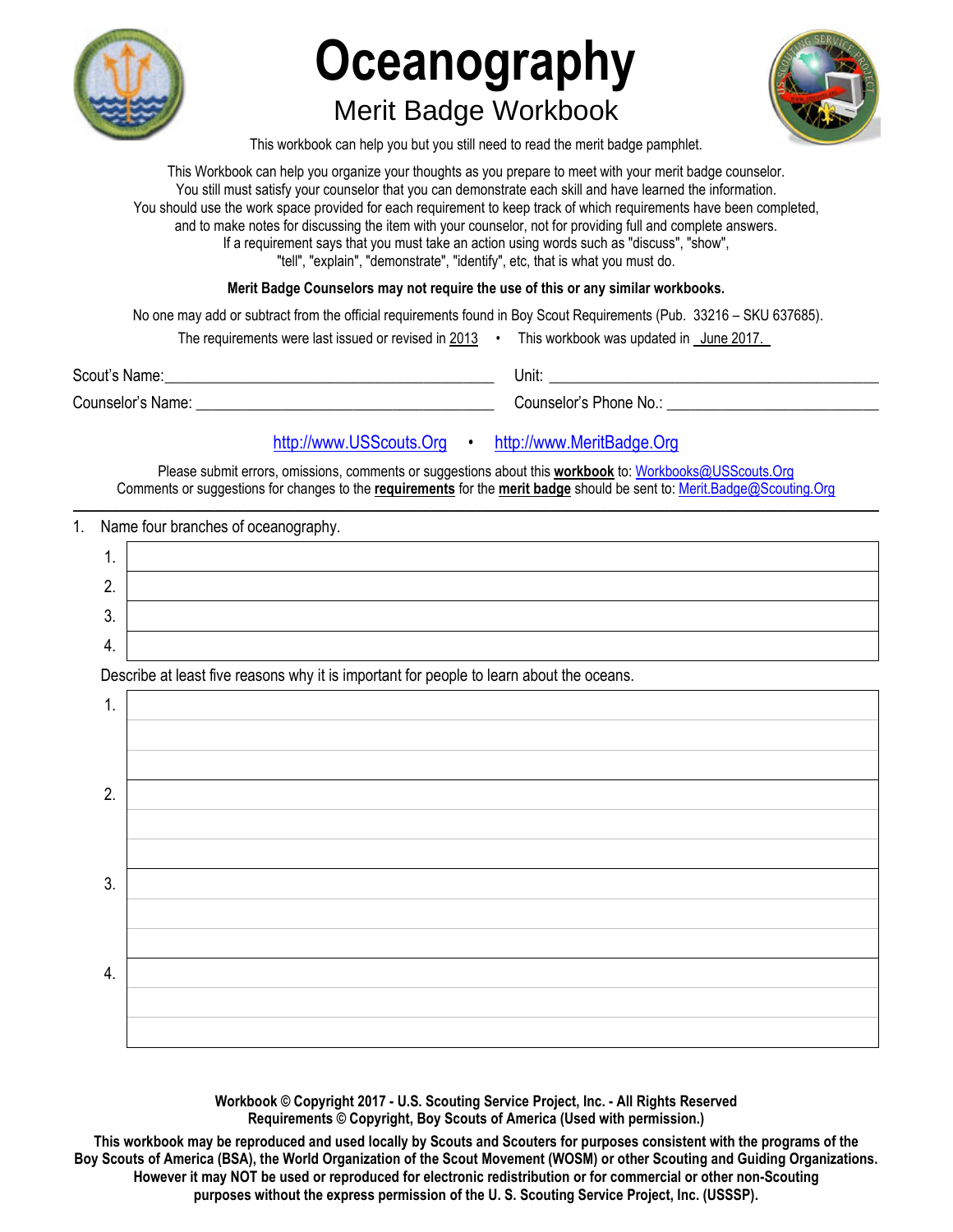

# **Oceanography**  Merit Badge Workbook



This workbook can help you but you still need to read the merit badge pamphlet.

This Workbook can help you organize your thoughts as you prepare to meet with your merit badge counselor. You still must satisfy your counselor that you can demonstrate each skill and have learned the information. You should use the work space provided for each requirement to keep track of which requirements have been completed, and to make notes for discussing the item with your counselor, not for providing full and complete answers. If a requirement says that you must take an action using words such as "discuss", "show", "tell", "explain", "demonstrate", "identify", etc, that is what you must do.

**Merit Badge Counselors may not require the use of this or any similar workbooks.**

No one may add or subtract from the official requirements found in Boy Scout Requirements (Pub. 33216 – SKU 637685).

| The requirements were last issued or revised in 2013 |  | This workbook was updated in June 2017. |  |
|------------------------------------------------------|--|-----------------------------------------|--|
|------------------------------------------------------|--|-----------------------------------------|--|

Scout's Name: \_\_\_\_\_\_\_\_\_\_\_\_\_\_\_\_\_\_\_\_\_\_\_\_\_\_\_\_\_\_\_\_\_\_\_\_\_\_\_\_\_\_ Unit: \_\_\_\_\_\_\_\_\_\_\_\_\_\_\_\_\_\_\_\_\_\_\_\_\_\_\_\_\_\_\_\_\_\_\_\_\_\_\_\_\_\_

Counselor's Name: \_\_\_\_\_\_\_\_\_\_\_\_\_\_\_\_\_\_\_\_\_\_\_\_\_\_\_\_\_\_\_\_\_\_\_\_\_\_ Counselor's Phone No.: \_\_\_\_\_\_\_\_\_\_\_\_\_\_\_\_\_\_\_\_\_\_\_\_\_\_\_

# [http://www.USScouts.Org](http://www.usscouts.org/) • [http://www.MeritBadge.Org](http://www.meritbadge.org/)

Please submit errors, omissions, comments or suggestions about this **workbook** to: [Workbooks@USScouts.Org](mailto:Workbooks@usscouts.org?subject=Merit%20Badge%20Workbooks) Comments or suggestions for changes to the **requirements** for the **merit badge** should be sent to: [Merit.Badge@Scouting.Org](mailto:merit.badge@scouting.org) *\_\_\_\_\_\_\_\_\_\_\_\_\_\_\_\_\_\_\_\_\_\_\_\_\_\_\_\_\_\_\_\_\_\_\_\_\_\_\_\_\_\_\_\_\_\_\_\_\_\_\_\_\_\_\_\_\_\_\_\_\_\_\_\_\_\_\_\_\_\_\_\_\_\_\_\_\_\_\_\_\_\_\_\_\_\_\_\_\_\_\_\_\_\_\_\_\_\_\_\_\_\_\_\_\_\_\_\_\_\_\_\_\_\_\_\_\_\_\_\_\_\_\_\_\_\_\_\_\_\_\_\_\_\_\_\_\_\_\_\_\_\_* 

### 1. Name four branches of oceanography.

| . . |  |
|-----|--|
|     |  |
| U.  |  |
|     |  |

Describe at least five reasons why it is important for people to learn about the oceans.



**Workbook © Copyright 2017 - U.S. Scouting Service Project, Inc. - All Rights Reserved Requirements © Copyright, Boy Scouts of America (Used with permission.)** 

**This workbook may be reproduced and used locally by Scouts and Scouters for purposes consistent with the programs of the Boy Scouts of America (BSA), the World Organization of the Scout Movement (WOSM) or other Scouting and Guiding Organizations. However it may NOT be used or reproduced for electronic redistribution or for commercial or other non-Scouting purposes without the express permission of the U. S. Scouting Service Project, Inc. (USSSP).**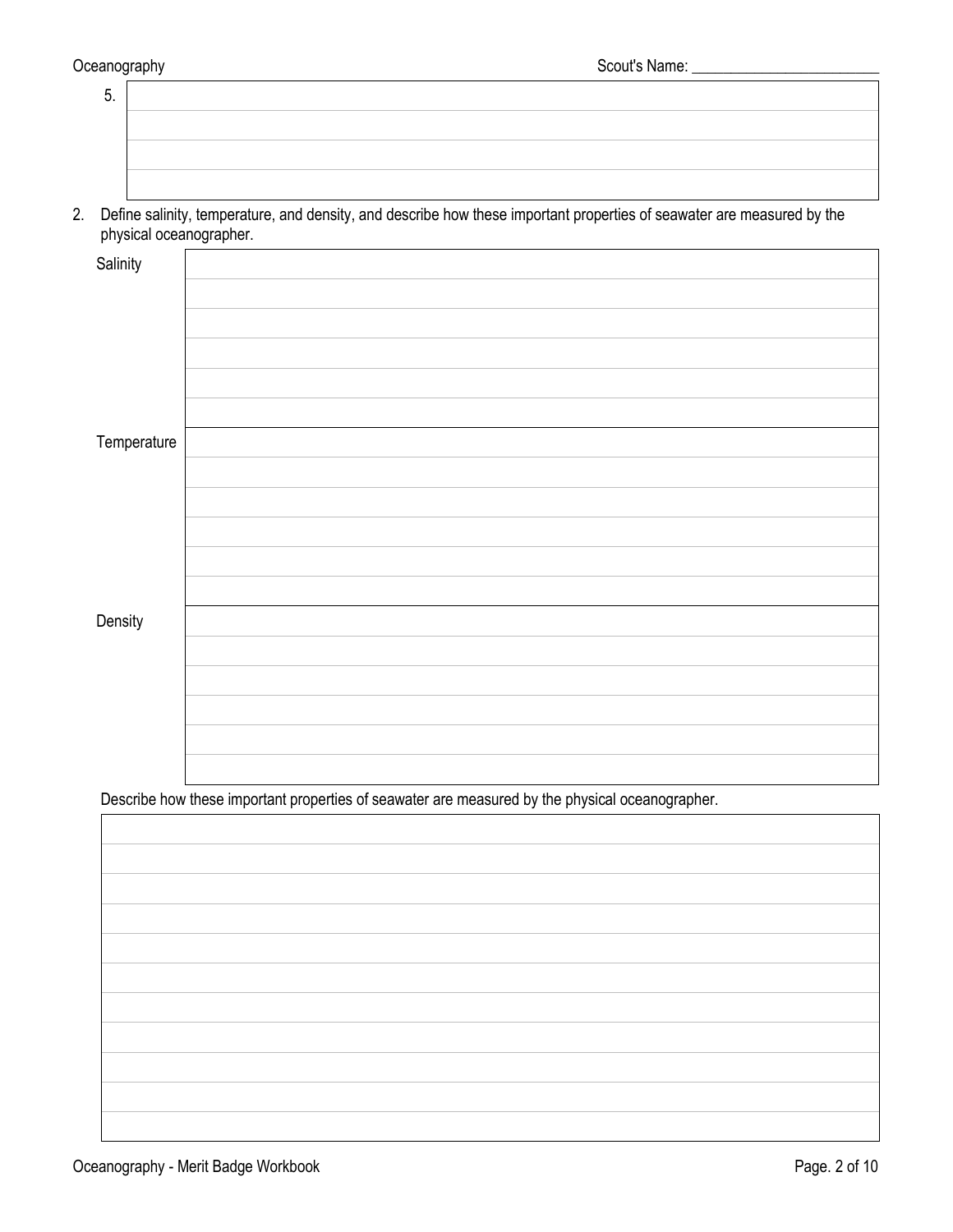| 5. |  |
|----|--|
|    |  |
|    |  |
|    |  |

2. Define salinity, temperature, and density, and describe how these important properties of seawater are measured by the physical oceanographer.

| Salinity    |                                                                                                 |
|-------------|-------------------------------------------------------------------------------------------------|
|             |                                                                                                 |
|             |                                                                                                 |
|             |                                                                                                 |
|             |                                                                                                 |
|             |                                                                                                 |
|             |                                                                                                 |
| Temperature |                                                                                                 |
|             |                                                                                                 |
|             |                                                                                                 |
|             |                                                                                                 |
|             |                                                                                                 |
|             |                                                                                                 |
| Density     |                                                                                                 |
|             |                                                                                                 |
|             |                                                                                                 |
|             |                                                                                                 |
|             |                                                                                                 |
|             |                                                                                                 |
|             |                                                                                                 |
|             | Describe how these important properties of seawater are measured by the physical oceanographer. |
|             |                                                                                                 |
|             |                                                                                                 |
|             |                                                                                                 |
|             |                                                                                                 |
|             |                                                                                                 |
|             |                                                                                                 |
|             |                                                                                                 |
|             |                                                                                                 |
|             |                                                                                                 |
|             |                                                                                                 |
|             |                                                                                                 |
|             |                                                                                                 |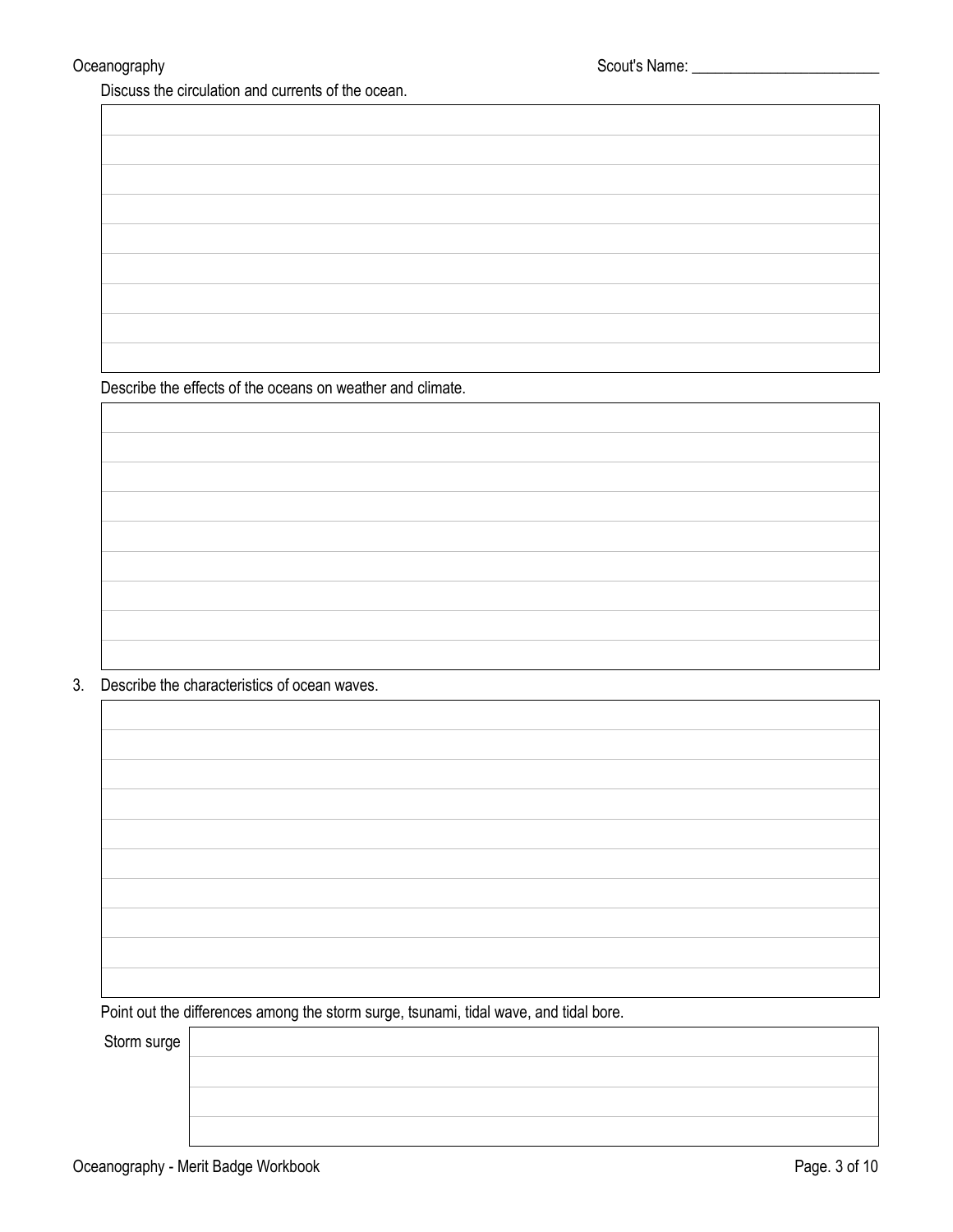Discuss the circulation and currents of the ocean.

Describe the effects of the oceans on weather and climate.

3. Describe the characteristics of ocean waves.

Point out the differences among the storm surge, tsunami, tidal wave, and tidal bore.

Storm surge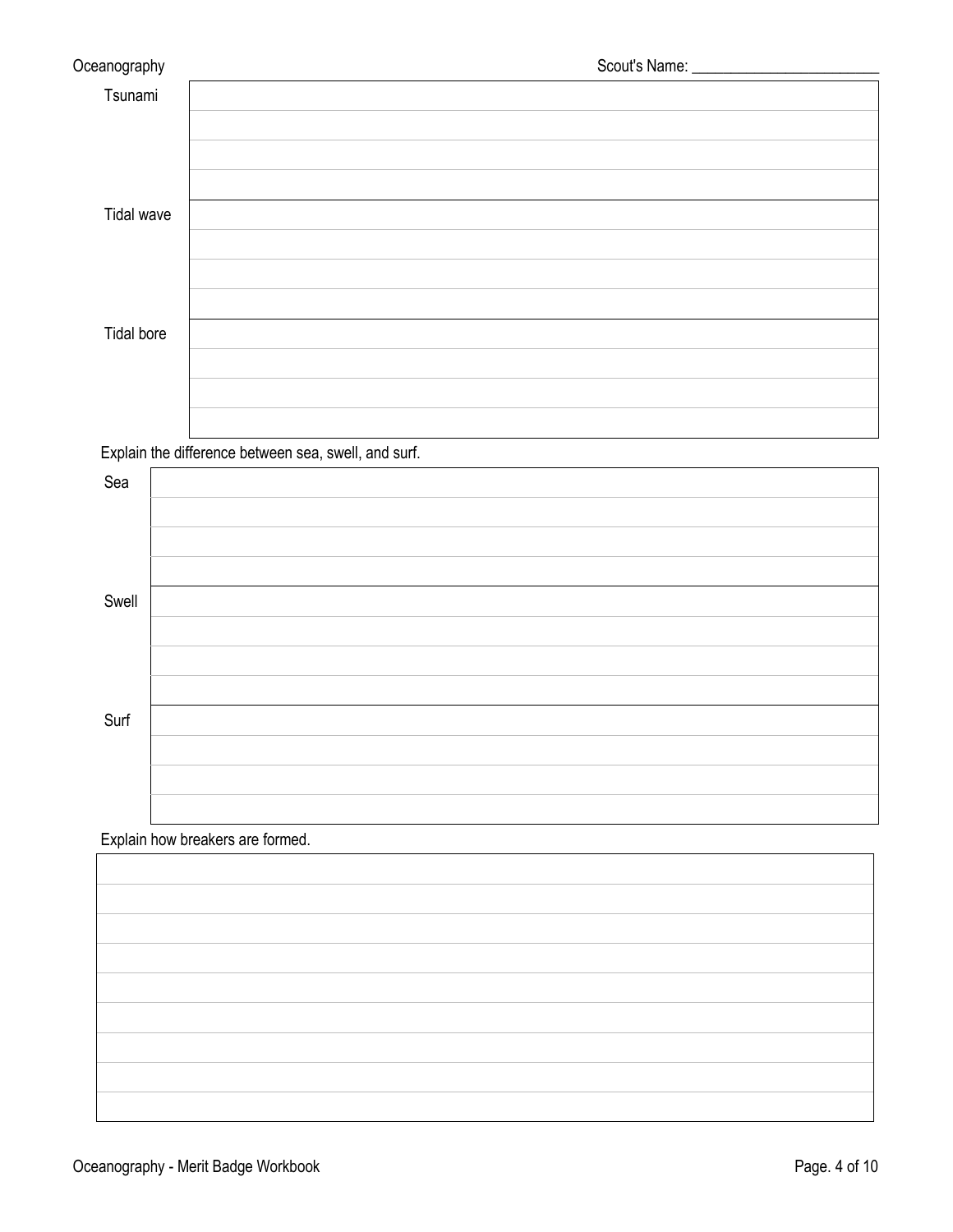| Oceanography |  |
|--------------|--|
| Tsunami      |  |
|              |  |
|              |  |
|              |  |
| Tidal wave   |  |
|              |  |
|              |  |
|              |  |
| Tidal bore   |  |
|              |  |
|              |  |
|              |  |

Explain the difference between sea, swell, and surf.

| Sea   |  |
|-------|--|
|       |  |
|       |  |
|       |  |
| Swell |  |
|       |  |
|       |  |
|       |  |
| Surf  |  |
|       |  |
|       |  |
|       |  |

## Explain how breakers are formed.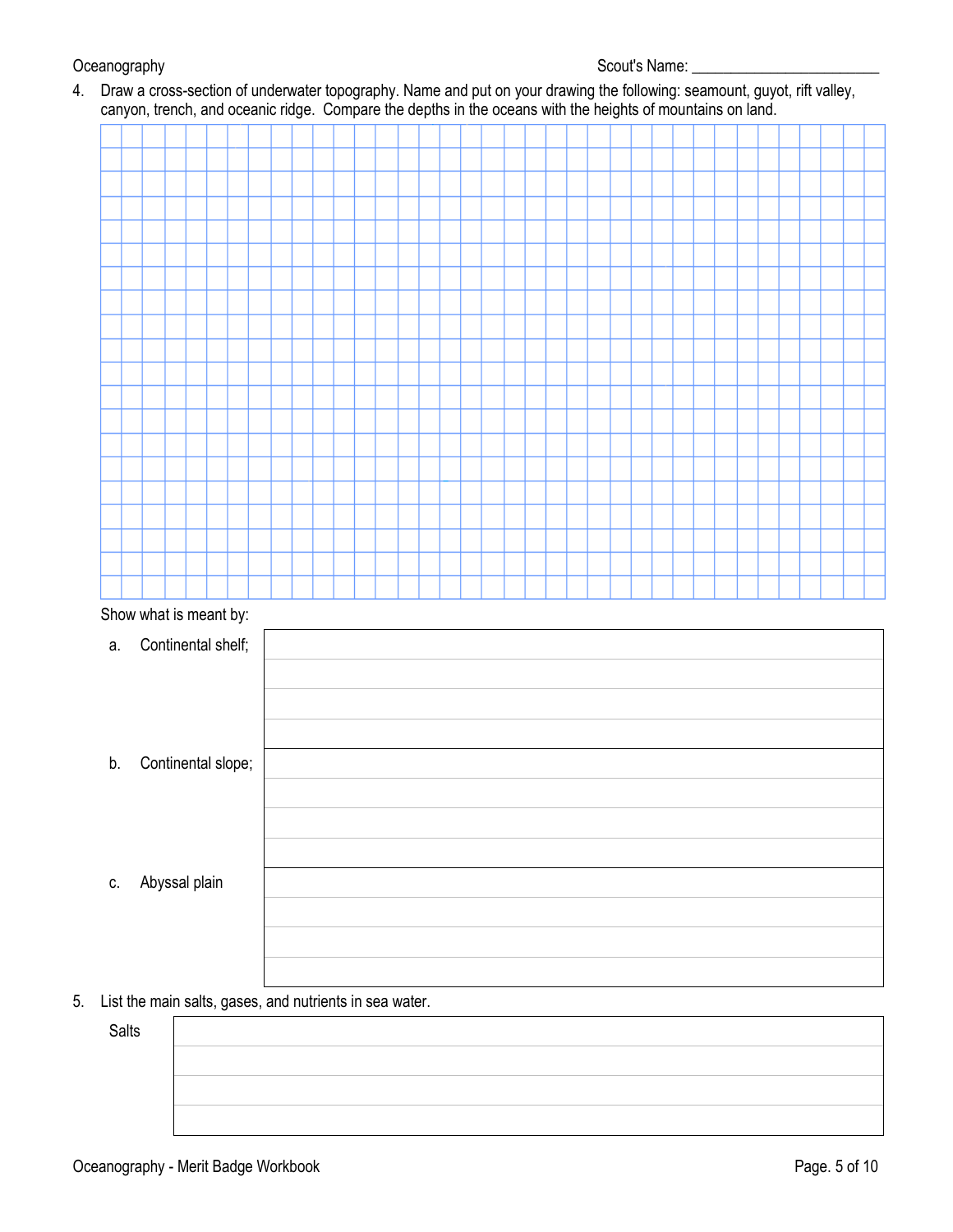### Oceanography Scout's Name: \_\_\_\_\_\_\_\_\_\_\_\_\_\_\_\_\_\_\_\_\_\_\_\_

4. Draw a cross-section of underwater topography. Name and put on your drawing the following: seamount, guyot, rift valley, canyon, trench, and oceanic ridge. Compare the depths in the oceans with the heights of mountains on land.

|    | $\cdot$ | $\overline{\phantom{a}}$ | $\cdot$ |  |  | ັ |  |  |  |  |  |  |  | ັ |  |  |  |  |  |  |
|----|---------|--------------------------|---------|--|--|---|--|--|--|--|--|--|--|---|--|--|--|--|--|--|
|    |         |                          |         |  |  |   |  |  |  |  |  |  |  |   |  |  |  |  |  |  |
|    |         |                          |         |  |  |   |  |  |  |  |  |  |  |   |  |  |  |  |  |  |
|    |         |                          |         |  |  |   |  |  |  |  |  |  |  |   |  |  |  |  |  |  |
|    |         |                          |         |  |  |   |  |  |  |  |  |  |  |   |  |  |  |  |  |  |
|    |         |                          |         |  |  |   |  |  |  |  |  |  |  |   |  |  |  |  |  |  |
|    |         |                          |         |  |  |   |  |  |  |  |  |  |  |   |  |  |  |  |  |  |
|    |         |                          |         |  |  |   |  |  |  |  |  |  |  |   |  |  |  |  |  |  |
|    |         |                          |         |  |  |   |  |  |  |  |  |  |  |   |  |  |  |  |  |  |
|    |         |                          |         |  |  |   |  |  |  |  |  |  |  |   |  |  |  |  |  |  |
|    |         |                          |         |  |  |   |  |  |  |  |  |  |  |   |  |  |  |  |  |  |
|    |         |                          |         |  |  |   |  |  |  |  |  |  |  |   |  |  |  |  |  |  |
|    |         |                          |         |  |  |   |  |  |  |  |  |  |  |   |  |  |  |  |  |  |
|    |         |                          |         |  |  |   |  |  |  |  |  |  |  |   |  |  |  |  |  |  |
|    |         |                          |         |  |  |   |  |  |  |  |  |  |  |   |  |  |  |  |  |  |
|    |         |                          |         |  |  |   |  |  |  |  |  |  |  |   |  |  |  |  |  |  |
|    |         |                          |         |  |  |   |  |  |  |  |  |  |  |   |  |  |  |  |  |  |
|    |         |                          |         |  |  |   |  |  |  |  |  |  |  |   |  |  |  |  |  |  |
|    |         |                          |         |  |  |   |  |  |  |  |  |  |  |   |  |  |  |  |  |  |
|    |         |                          |         |  |  |   |  |  |  |  |  |  |  |   |  |  |  |  |  |  |
|    |         |                          |         |  |  |   |  |  |  |  |  |  |  |   |  |  |  |  |  |  |
|    |         |                          |         |  |  |   |  |  |  |  |  |  |  |   |  |  |  |  |  |  |
|    |         |                          |         |  |  |   |  |  |  |  |  |  |  |   |  |  |  |  |  |  |
|    |         |                          |         |  |  |   |  |  |  |  |  |  |  |   |  |  |  |  |  |  |
|    |         | Show what is meant by:   |         |  |  |   |  |  |  |  |  |  |  |   |  |  |  |  |  |  |
| a. |         | Continental shelf;       |         |  |  |   |  |  |  |  |  |  |  |   |  |  |  |  |  |  |
|    |         |                          |         |  |  |   |  |  |  |  |  |  |  |   |  |  |  |  |  |  |
|    |         |                          |         |  |  |   |  |  |  |  |  |  |  |   |  |  |  |  |  |  |
|    |         |                          |         |  |  |   |  |  |  |  |  |  |  |   |  |  |  |  |  |  |
|    |         |                          |         |  |  |   |  |  |  |  |  |  |  |   |  |  |  |  |  |  |

- b. Continental slope;
- c. Abyssal plain
- 5. List the main salts, gases, and nutrients in sea water.

Salts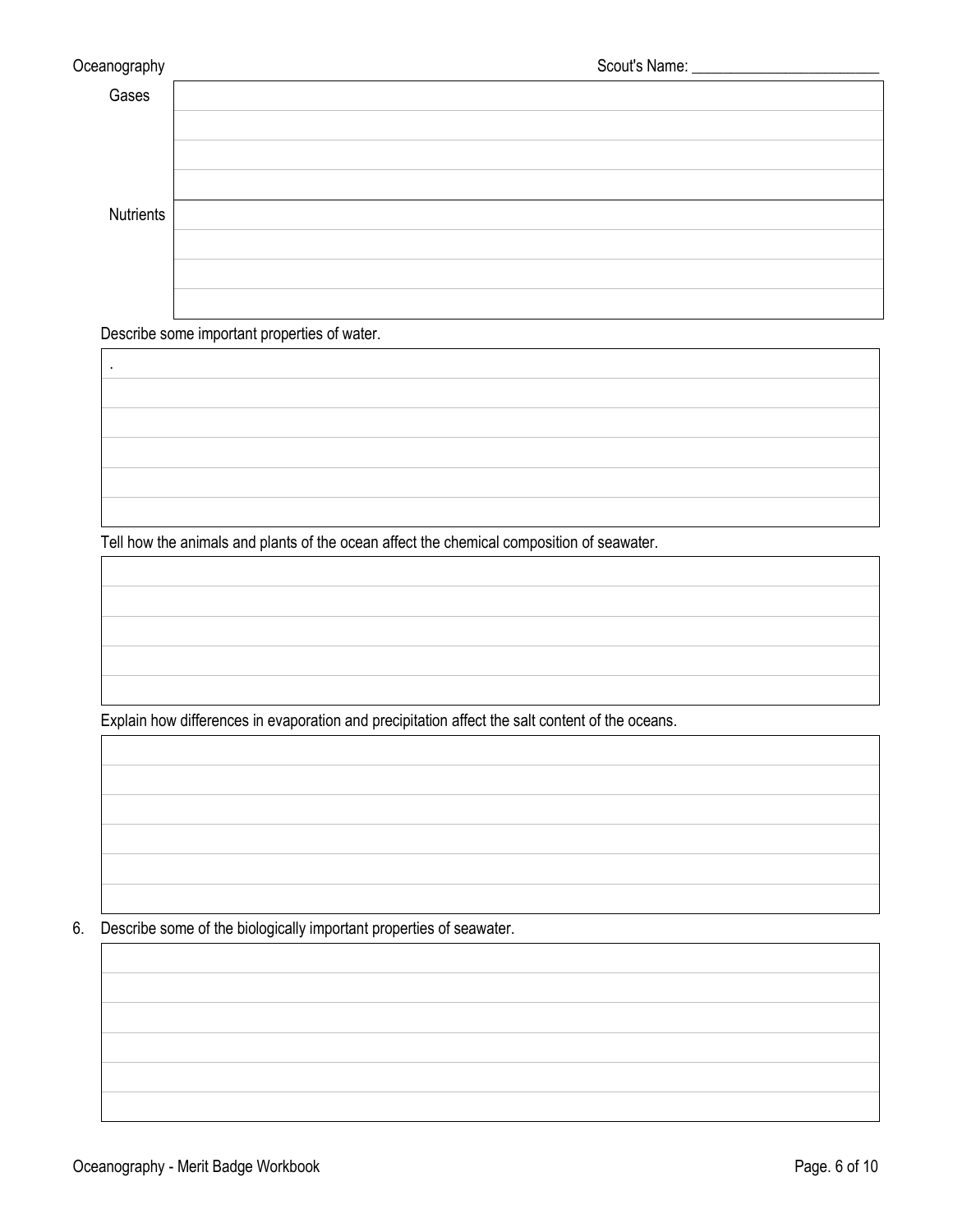.

| Gases     |  |
|-----------|--|
|           |  |
|           |  |
|           |  |
| Nutrients |  |
|           |  |
|           |  |
|           |  |

Describe some important properties of water.

Tell how the animals and plants of the ocean affect the chemical composition of seawater.

Explain how differences in evaporation and precipitation affect the salt content of the oceans.

6. Describe some of the biologically important properties of seawater.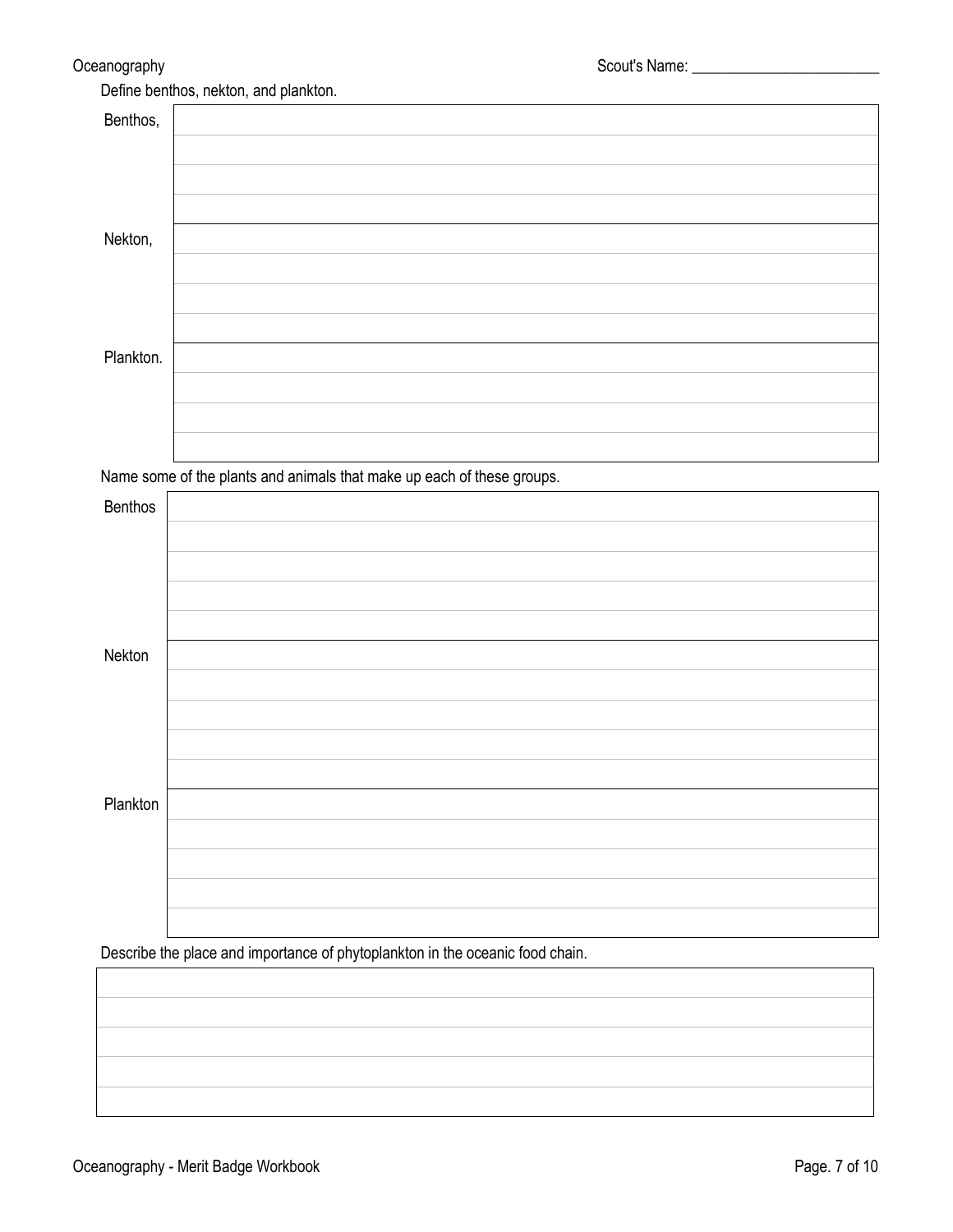| Benthos,  |  |
|-----------|--|
|           |  |
|           |  |
|           |  |
| Nekton,   |  |
|           |  |
|           |  |
|           |  |
| Plankton. |  |
|           |  |
|           |  |
|           |  |

Name some of the plants and animals that make up each of these groups.

| Benthos  |  |
|----------|--|
|          |  |
|          |  |
|          |  |
|          |  |
| Nekton   |  |
|          |  |
|          |  |
|          |  |
|          |  |
| Plankton |  |
|          |  |
|          |  |
|          |  |
|          |  |

Describe the place and importance of phytoplankton in the oceanic food chain.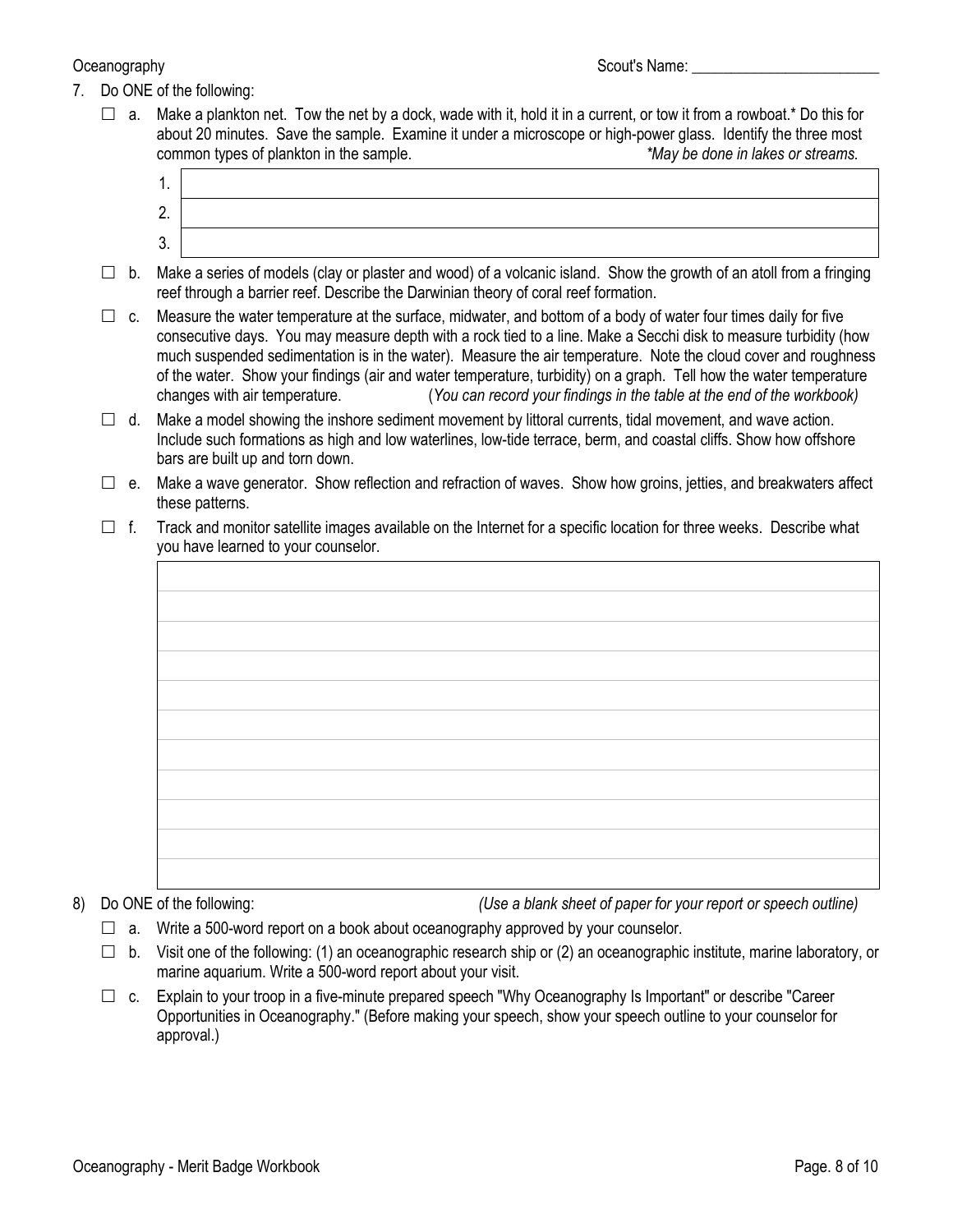- 7. Do ONE of the following:
	- $\Box$  a. Make a plankton net. Tow the net by a dock, wade with it, hold it in a current, or tow it from a rowboat.\* Do this for about 20 minutes. Save the sample. Examine it under a microscope or high-power glass. Identify the three most common types of plankton in the sample. *\*May be done in lakes or streams.*
		- 1. 2. 3.
	- $\Box$  b. Make a series of models (clay or plaster and wood) of a volcanic island. Show the growth of an atoll from a fringing reef through a barrier reef. Describe the Darwinian theory of coral reef formation.
	- $\Box$  c. Measure the water temperature at the surface, midwater, and bottom of a body of water four times daily for five consecutive days. You may measure depth with a rock tied to a line. Make a Secchi disk to measure turbidity (how much suspended sedimentation is in the water). Measure the air temperature. Note the cloud cover and roughness of the water. Show your findings (air and water temperature, turbidity) on a graph. Tell how the water temperature changes with air temperature. (*You can record your findings in the table at the end of the workbook)*
	- $\Box$  d. Make a model showing the inshore sediment movement by littoral currents, tidal movement, and wave action. Include such formations as high and low waterlines, low-tide terrace, berm, and coastal cliffs. Show how offshore bars are built up and torn down.
	- $\Box$  e. Make a wave generator. Show reflection and refraction of waves. Show how groins, jetties, and breakwaters affect these patterns.
	- $\Box$  f. Track and monitor satellite images available on the Internet for a specific location for three weeks. Describe what you have learned to your counselor.

8) Do ONE of the following: *(Use a blank sheet of paper for your report or speech outline)*

- $\Box$  a. Write a 500-word report on a book about oceanography approved by your counselor.
- $\Box$  b. Visit one of the following: (1) an oceanographic research ship or (2) an oceanographic institute, marine laboratory, or marine aquarium. Write a 500-word report about your visit.
- $\Box$  c. Explain to your troop in a five-minute prepared speech "Why Oceanography Is Important" or describe "Career Opportunities in Oceanography." (Before making your speech, show your speech outline to your counselor for approval.)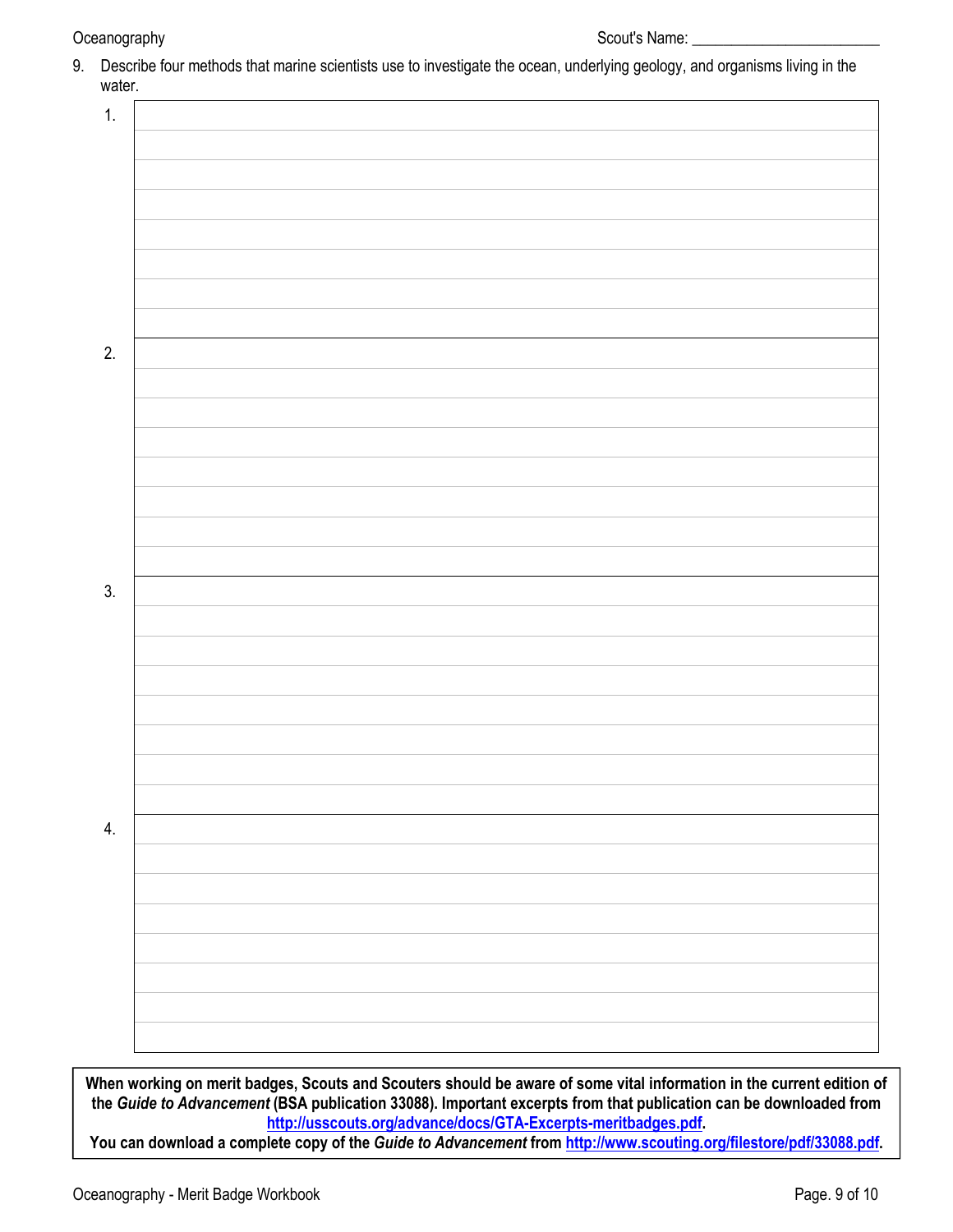Oceanography Scout's Name: \_\_\_\_\_\_\_\_\_\_\_\_\_\_\_\_\_\_\_\_\_\_\_\_ 9. Describe four methods that marine scientists use to investigate the ocean, underlying geology, and organisms living in the water. 1. 2. 3. 4.

**When working on merit badges, Scouts and Scouters should be aware of some vital information in the current edition of the** *Guide to Advancement* **(BSA publication 33088). Important excerpts from that publication can be downloaded from <http://usscouts.org/advance/docs/GTA-Excerpts-meritbadges.pdf>.** 

**You can download a complete copy of the** *Guide to Advancement* **from <http://www.scouting.org/filestore/pdf/33088.pdf>.**